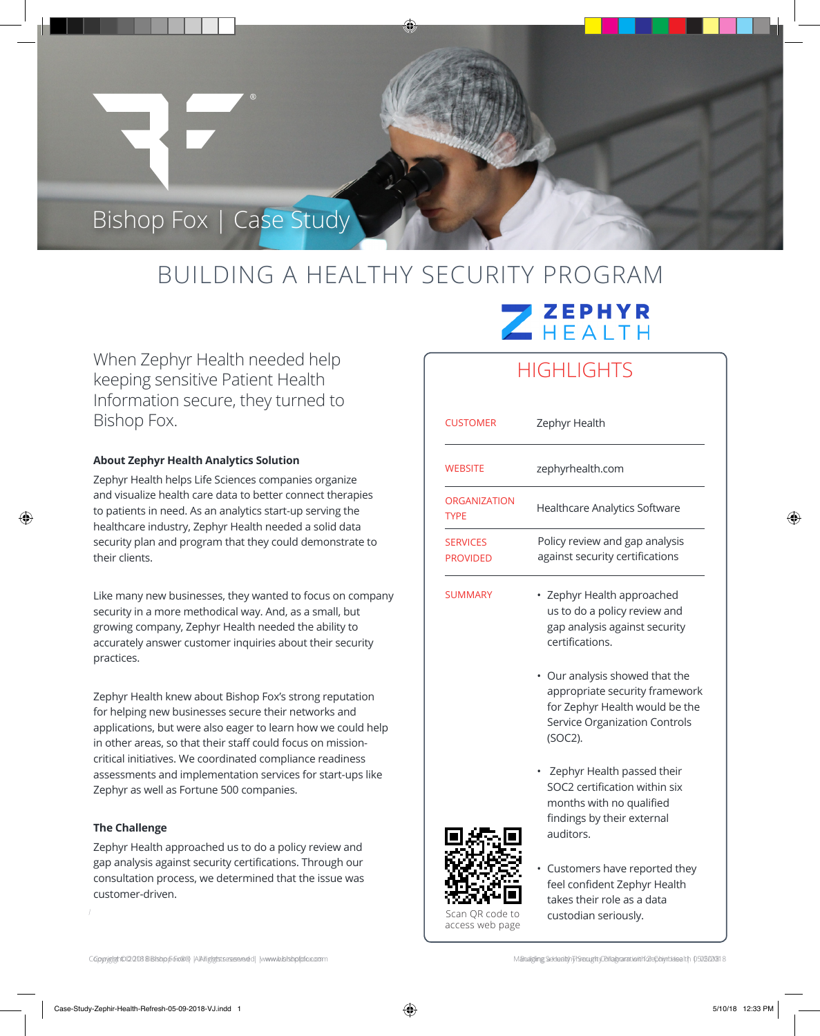## BUILDING A HEALTHY SECURITY PROGRAM

When Zephyr Health needed help keeping sensitive Patient Health Information secure, they turned to Bishop Fox.

Bishop Fox | Case Study

### **About Zephyr Health Analytics Solution**

Zephyr Health helps Life Sciences companies organize and visualize health care data to better connect therapies to patients in need. As an analytics start-up serving the healthcare industry, Zephyr Health needed a solid data security plan and program that they could demonstrate to their clients.

Like many new businesses, they wanted to focus on company security in a more methodical way. And, as a small, but growing company, Zephyr Health needed the ability to accurately answer customer inquiries about their security practices.

Zephyr Health knew about Bishop Fox's strong reputation for helping new businesses secure their networks and applications, but were also eager to learn how we could help in other areas, so that their staff could focus on missioncritical initiatives. We coordinated compliance readiness assessments and implementation services for start-ups like Zephyr as well as Fortune 500 companies.

#### **The Challenge**

⊕

Zephyr Health approached us to do a policy review and gap analysis against security certifications. Through our consultation process, we determined that the issue was customer-driven.

# ZEPHYR

### **HIGHLIGHTS**

| <b>CUSTOMER</b>                                      | Zephyr Health                                                                                                                                     |
|------------------------------------------------------|---------------------------------------------------------------------------------------------------------------------------------------------------|
| <b>WEBSITE</b>                                       | zephyrhealth.com                                                                                                                                  |
| <b>ORGANIZATION</b><br><b>TYPE</b>                   | Healthcare Analytics Software                                                                                                                     |
| <b>SERVICES</b><br><b>PROVIDED</b>                   | Policy review and gap analysis<br>against security certifications                                                                                 |
| <b>SUMMARY</b><br>Scan QR code to<br>access web page | Zephyr Health approached<br>us to do a policy review and<br>gap analysis against security<br>certifications.                                      |
|                                                      | • Our analysis showed that the<br>appropriate security framework<br>for Zephyr Health would be the<br>Service Organization Controls<br>$(SOC2)$ . |
|                                                      | Zephyr Health passed their<br>SOC2 certification within six<br>months with no qualified<br>findings by their external<br>auditors.                |
|                                                      | Customers have reported they<br>feel confident Zephyr Health<br>takes their role as a data<br>custodian seriously.                                |

Copyright@2018&Bhstp@65x8@|AAhighdstaceaeeded|www.bisbpfofx.com M&naiging\_Sedealth\ViSecuptt\Cehapranationhforephytheleelth\_0503020818

⊕